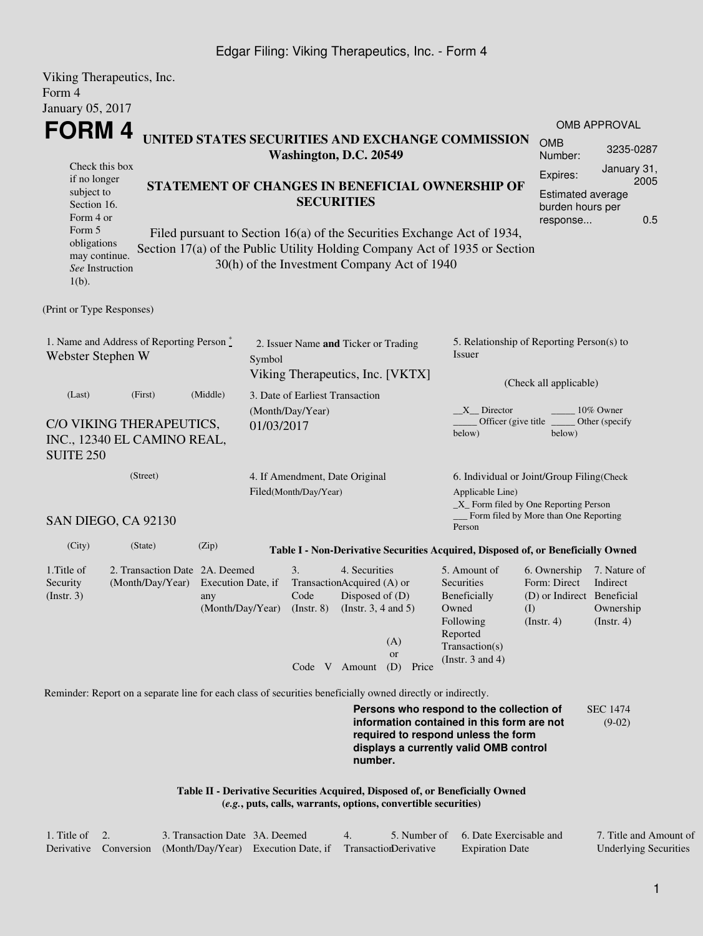## Edgar Filing: Viking Therapeutics, Inc. - Form 4

| Viking Therapeutics, Inc.<br>Form 4                                                                                                                                                                                                                                                                                                                                                                                                                                                                                             |                                                                                                             |       |                                                                                    |                                                                                          |                                                                |                                                                                                                                                             |                                                                                                                                                                         |                                                                                               |                                                                |  |
|---------------------------------------------------------------------------------------------------------------------------------------------------------------------------------------------------------------------------------------------------------------------------------------------------------------------------------------------------------------------------------------------------------------------------------------------------------------------------------------------------------------------------------|-------------------------------------------------------------------------------------------------------------|-------|------------------------------------------------------------------------------------|------------------------------------------------------------------------------------------|----------------------------------------------------------------|-------------------------------------------------------------------------------------------------------------------------------------------------------------|-------------------------------------------------------------------------------------------------------------------------------------------------------------------------|-----------------------------------------------------------------------------------------------|----------------------------------------------------------------|--|
| January 05, 2017                                                                                                                                                                                                                                                                                                                                                                                                                                                                                                                |                                                                                                             |       |                                                                                    |                                                                                          |                                                                |                                                                                                                                                             |                                                                                                                                                                         |                                                                                               |                                                                |  |
| <b>FORM4</b><br>UNITED STATES SECURITIES AND EXCHANGE COMMISSION<br>Washington, D.C. 20549<br>Check this box<br>if no longer<br>STATEMENT OF CHANGES IN BENEFICIAL OWNERSHIP OF<br>subject to<br><b>SECURITIES</b><br>Section 16.<br>Form 4 or<br>Form 5<br>Filed pursuant to Section 16(a) of the Securities Exchange Act of 1934,<br>obligations<br>Section 17(a) of the Public Utility Holding Company Act of 1935 or Section<br>may continue.<br>30(h) of the Investment Company Act of 1940<br>See Instruction<br>$1(b)$ . |                                                                                                             |       |                                                                                    |                                                                                          |                                                                |                                                                                                                                                             |                                                                                                                                                                         | <b>OMB</b><br>Number:<br>Expires:<br><b>Estimated average</b><br>burden hours per<br>response | <b>OMB APPROVAL</b><br>3235-0287<br>January 31,<br>2005<br>0.5 |  |
| (Print or Type Responses)                                                                                                                                                                                                                                                                                                                                                                                                                                                                                                       |                                                                                                             |       |                                                                                    |                                                                                          |                                                                |                                                                                                                                                             |                                                                                                                                                                         |                                                                                               |                                                                |  |
| 1. Name and Address of Reporting Person*<br>Webster Stephen W                                                                                                                                                                                                                                                                                                                                                                                                                                                                   |                                                                                                             |       | 2. Issuer Name and Ticker or Trading<br>Symbol<br>Viking Therapeutics, Inc. [VKTX] |                                                                                          |                                                                |                                                                                                                                                             | 5. Relationship of Reporting Person(s) to<br>Issuer<br>(Check all applicable)                                                                                           |                                                                                               |                                                                |  |
| (Middle)<br>(Last)<br>(First)<br>C/O VIKING THERAPEUTICS,<br>INC., 12340 EL CAMINO REAL,<br><b>SUITE 250</b>                                                                                                                                                                                                                                                                                                                                                                                                                    |                                                                                                             |       | 3. Date of Earliest Transaction<br>(Month/Day/Year)<br>01/03/2017                  |                                                                                          |                                                                | X Director<br>10% Owner<br>Officer (give title)<br>Other (specify<br>below)<br>below)                                                                       |                                                                                                                                                                         |                                                                                               |                                                                |  |
| (Street)<br>SAN DIEGO, CA 92130                                                                                                                                                                                                                                                                                                                                                                                                                                                                                                 |                                                                                                             |       | 4. If Amendment, Date Original<br>Filed(Month/Day/Year)                            |                                                                                          |                                                                | 6. Individual or Joint/Group Filing(Check<br>Applicable Line)<br>_X_ Form filed by One Reporting Person<br>_Form filed by More than One Reporting<br>Person |                                                                                                                                                                         |                                                                                               |                                                                |  |
| (City)                                                                                                                                                                                                                                                                                                                                                                                                                                                                                                                          | (State)                                                                                                     | (Zip) |                                                                                    |                                                                                          |                                                                |                                                                                                                                                             | Table I - Non-Derivative Securities Acquired, Disposed of, or Beneficially Owned                                                                                        |                                                                                               |                                                                |  |
| 1. Title of<br>Security<br>$($ Instr. 3 $)$                                                                                                                                                                                                                                                                                                                                                                                                                                                                                     | 2. Transaction Date 2A. Deemed<br>(Month/Day/Year) Execution Date, if                                       | any   |                                                                                    | 3.<br>TransactionAcquired (A) or<br>Code<br>(Month/Day/Year) (Instr. 8)<br>Code V Amount | 4. Securities<br>Disposed of $(D)$<br>(Instr. $3, 4$ and $5$ ) | (A)<br><b>or</b><br>(D) Price                                                                                                                               | 5. Amount of<br>Securities<br>Beneficially<br>Owned<br>Following<br>Reported<br>Transaction(s)<br>(Instr. $3$ and $4$ )                                                 | 6. Ownership<br>Form: Direct<br>(D) or Indirect Beneficial<br>(1)<br>(Insert. 4)              | 7. Nature of<br>Indirect<br>Ownership<br>$($ Instr. 4 $)$      |  |
|                                                                                                                                                                                                                                                                                                                                                                                                                                                                                                                                 | Reminder: Report on a separate line for each class of securities beneficially owned directly or indirectly. |       |                                                                                    |                                                                                          | number.                                                        |                                                                                                                                                             | Persons who respond to the collection of<br>information contained in this form are not<br>required to respond unless the form<br>displays a currently valid OMB control |                                                                                               | <b>SEC 1474</b><br>$(9-02)$                                    |  |
|                                                                                                                                                                                                                                                                                                                                                                                                                                                                                                                                 |                                                                                                             |       |                                                                                    |                                                                                          |                                                                | (e.g., puts, calls, warrants, options, convertible securities)                                                                                              | Table II - Derivative Securities Acquired, Disposed of, or Beneficially Owned                                                                                           |                                                                                               |                                                                |  |

| 1. Title of $\,$ 2. | 3. Transaction Date 3A. Deemed                                                   |  | 5. Number of 6. Date Exercisable and | 7. Title and Amount of       |
|---------------------|----------------------------------------------------------------------------------|--|--------------------------------------|------------------------------|
|                     | Derivative Conversion (Month/Day/Year) Execution Date, if Transaction Derivative |  | <b>Expiration Date</b>               | <b>Underlying Securities</b> |